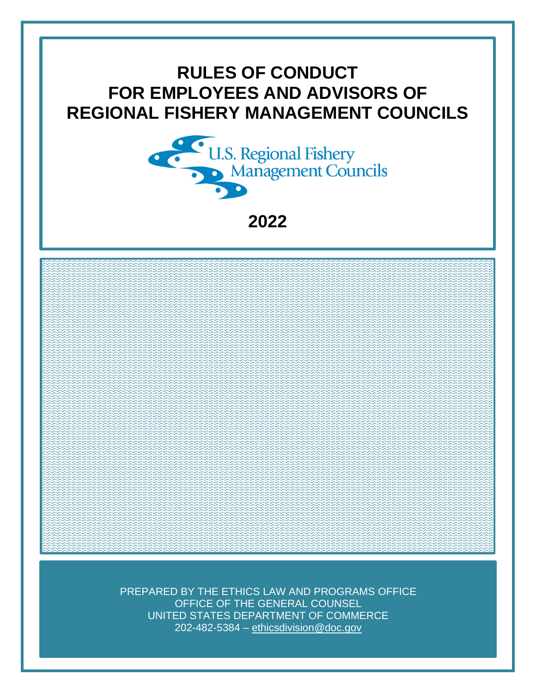# **RULES OF CONDUCT FOR EMPLOYEES AND ADVISORS OF REGIONAL FISHERY MANAGEMENT COUNCILS**



**2022**

PREPARED BY THE ETHICS LAW AND PROGRAMS OFFICE OFFICE OF THE GENERAL COUNSEL UNITED STATES DEPARTMENT OF COMMERCE 202-482-5384 – [ethicsdivision@doc.gov](mailto:ethicsdivision@doc.gov)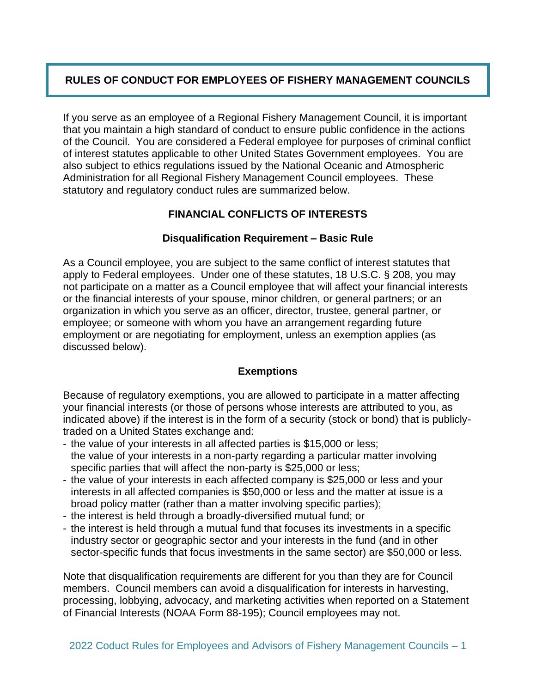# **RULES OF CONDUCT FOR EMPLOYEES OF FISHERY MANAGEMENT COUNCILS**

If you serve as an employee of a Regional Fishery Management Council, it is important that you maintain a high standard of conduct to ensure public confidence in the actions of the Council. You are considered a Federal employee for purposes of criminal conflict of interest statutes applicable to other United States Government employees. You are also subject to ethics regulations issued by the National Oceanic and Atmospheric Administration for all Regional Fishery Management Council employees. These statutory and regulatory conduct rules are summarized below.

# **FINANCIAL CONFLICTS OF INTERESTS**

## **Disqualification Requirement – Basic Rule**

As a Council employee, you are subject to the same conflict of interest statutes that apply to Federal employees. Under one of these statutes, 18 U.S.C. § 208, you may not participate on a matter as a Council employee that will affect your financial interests or the financial interests of your spouse, minor children, or general partners; or an organization in which you serve as an officer, director, trustee, general partner, or employee; or someone with whom you have an arrangement regarding future employment or are negotiating for employment, unless an exemption applies (as discussed below).

#### **Exemptions**

Because of regulatory exemptions, you are allowed to participate in a matter affecting your financial interests (or those of persons whose interests are attributed to you, as indicated above) if the interest is in the form of a security (stock or bond) that is publiclytraded on a United States exchange and:

- the value of your interests in all affected parties is \$15,000 or less; the value of your interests in a non-party regarding a particular matter involving specific parties that will affect the non-party is \$25,000 or less;
- the value of your interests in each affected company is \$25,000 or less and your interests in all affected companies is \$50,000 or less and the matter at issue is a broad policy matter (rather than a matter involving specific parties);
- the interest is held through a broadly-diversified mutual fund; or
- the interest is held through a mutual fund that focuses its investments in a specific industry sector or geographic sector and your interests in the fund (and in other sector-specific funds that focus investments in the same sector) are \$50,000 or less.

Note that disqualification requirements are different for you than they are for Council members. Council members can avoid a disqualification for interests in harvesting, processing, lobbying, advocacy, and marketing activities when reported on a Statement of Financial Interests (NOAA Form 88-195); Council employees may not.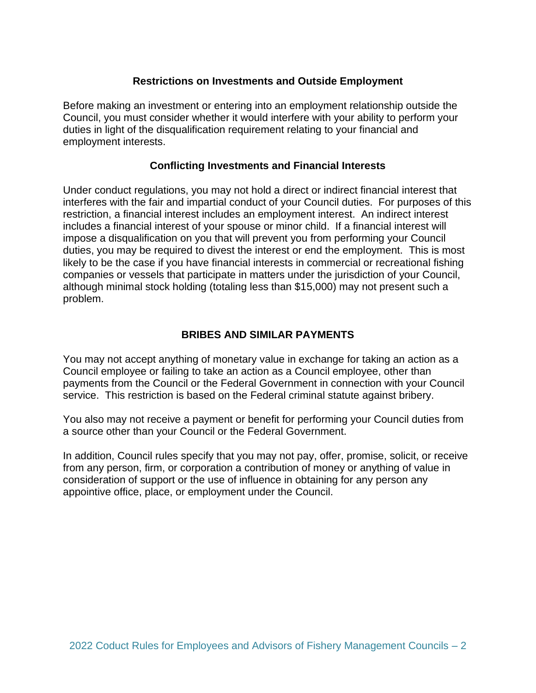## **Restrictions on Investments and Outside Employment**

Before making an investment or entering into an employment relationship outside the Council, you must consider whether it would interfere with your ability to perform your duties in light of the disqualification requirement relating to your financial and employment interests.

#### **Conflicting Investments and Financial Interests**

Under conduct regulations, you may not hold a direct or indirect financial interest that interferes with the fair and impartial conduct of your Council duties. For purposes of this restriction, a financial interest includes an employment interest. An indirect interest includes a financial interest of your spouse or minor child. If a financial interest will impose a disqualification on you that will prevent you from performing your Council duties, you may be required to divest the interest or end the employment. This is most likely to be the case if you have financial interests in commercial or recreational fishing companies or vessels that participate in matters under the jurisdiction of your Council, although minimal stock holding (totaling less than \$15,000) may not present such a problem.

## **BRIBES AND SIMILAR PAYMENTS**

You may not accept anything of monetary value in exchange for taking an action as a Council employee or failing to take an action as a Council employee, other than payments from the Council or the Federal Government in connection with your Council service. This restriction is based on the Federal criminal statute against bribery.

You also may not receive a payment or benefit for performing your Council duties from a source other than your Council or the Federal Government.

In addition, Council rules specify that you may not pay, offer, promise, solicit, or receive from any person, firm, or corporation a contribution of money or anything of value in consideration of support or the use of influence in obtaining for any person any appointive office, place, or employment under the Council.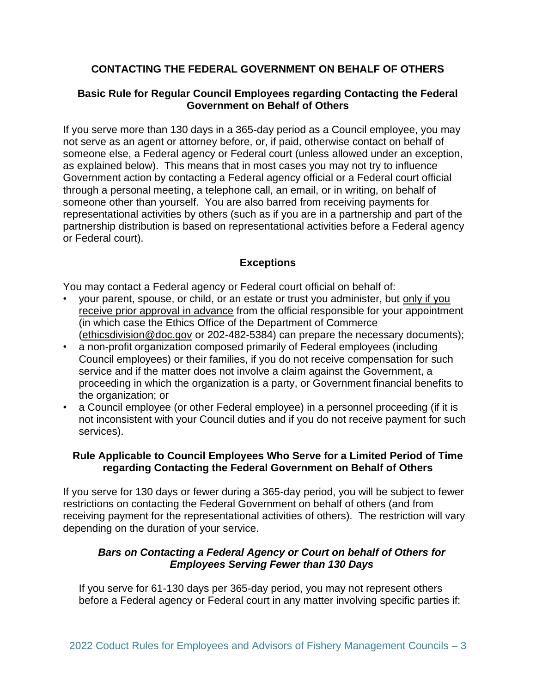# **CONTACTING THE FEDERAL GOVERNMENT ON BEHALF OF OTHERS**

#### **Basic Rule for Regular Council Employees regarding Contacting the Federal Government on Behalf of Others**

If you serve more than 130 days in a 365-day period as a Council employee, you may not serve as an agent or attorney before, or, if paid, otherwise contact on behalf of someone else, a Federal agency or Federal court (unless allowed under an exception, as explained below). This means that in most cases you may not try to influence Government action by contacting a Federal agency official or a Federal court official through a personal meeting, a telephone call, an email, or in writing, on behalf of someone other than yourself. You are also barred from receiving payments for representational activities by others (such as if you are in a partnership and part of the partnership distribution is based on representational activities before a Federal agency or Federal court).

## **Exceptions**

You may contact a Federal agency or Federal court official on behalf of:

- your parent, spouse, or child, or an estate or trust you administer, but only if you receive prior approval in advance from the official responsible for your appointment (in which case the Ethics Office of the Department of Commerce [\(ethicsdivision@doc.gov](mailto:ethicsdivision@doc.gov) or 202-482-5384) can prepare the necessary documents);
- a non-profit organization composed primarily of Federal employees (including Council employees) or their families, if you do not receive compensation for such service and if the matter does not involve a claim against the Government, a proceeding in which the organization is a party, or Government financial benefits to the organization; or
- a Council employee (or other Federal employee) in a personnel proceeding (if it is not inconsistent with your Council duties and if you do not receive payment for such services).

#### **Rule Applicable to Council Employees Who Serve for a Limited Period of Time regarding Contacting the Federal Government on Behalf of Others**

If you serve for 130 days or fewer during a 365-day period, you will be subject to fewer restrictions on contacting the Federal Government on behalf of others (and from receiving payment for the representational activities of others). The restriction will vary depending on the duration of your service.

## *Bars on Contacting a Federal Agency or Court on behalf of Others for Employees Serving Fewer than 130 Days*

If you serve for 61-130 days per 365-day period, you may not represent others before a Federal agency or Federal court in any matter involving specific parties if: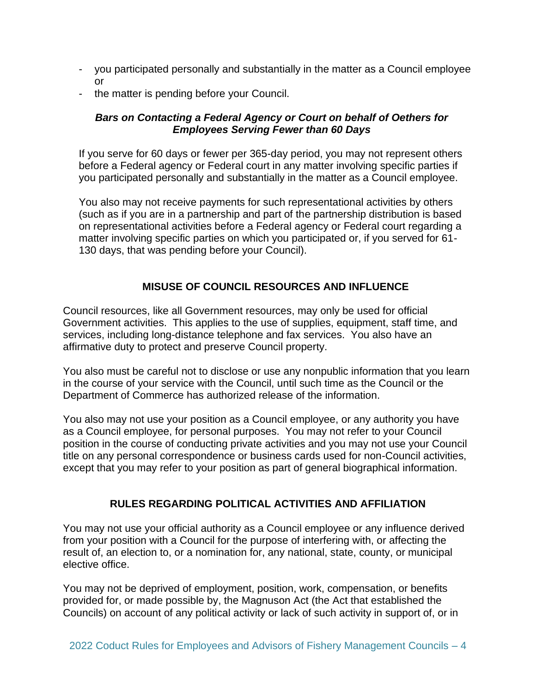- you participated personally and substantially in the matter as a Council employee or
- the matter is pending before your Council.

## *Bars on Contacting a Federal Agency or Court on behalf of Oethers for Employees Serving Fewer than 60 Days*

If you serve for 60 days or fewer per 365-day period, you may not represent others before a Federal agency or Federal court in any matter involving specific parties if you participated personally and substantially in the matter as a Council employee.

You also may not receive payments for such representational activities by others (such as if you are in a partnership and part of the partnership distribution is based on representational activities before a Federal agency or Federal court regarding a matter involving specific parties on which you participated or, if you served for 61- 130 days, that was pending before your Council).

# **MISUSE OF COUNCIL RESOURCES AND INFLUENCE**

Council resources, like all Government resources, may only be used for official Government activities. This applies to the use of supplies, equipment, staff time, and services, including long-distance telephone and fax services. You also have an affirmative duty to protect and preserve Council property.

You also must be careful not to disclose or use any nonpublic information that you learn in the course of your service with the Council, until such time as the Council or the Department of Commerce has authorized release of the information.

You also may not use your position as a Council employee, or any authority you have as a Council employee, for personal purposes. You may not refer to your Council position in the course of conducting private activities and you may not use your Council title on any personal correspondence or business cards used for non-Council activities, except that you may refer to your position as part of general biographical information.

# **RULES REGARDING POLITICAL ACTIVITIES AND AFFILIATION**

You may not use your official authority as a Council employee or any influence derived from your position with a Council for the purpose of interfering with, or affecting the result of, an election to, or a nomination for, any national, state, county, or municipal elective office.

You may not be deprived of employment, position, work, compensation, or benefits provided for, or made possible by, the Magnuson Act (the Act that established the Councils) on account of any political activity or lack of such activity in support of, or in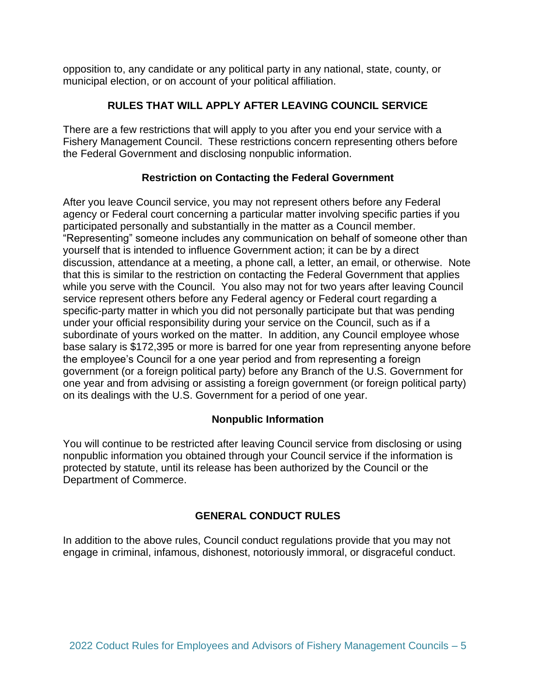opposition to, any candidate or any political party in any national, state, county, or municipal election, or on account of your political affiliation.

## **RULES THAT WILL APPLY AFTER LEAVING COUNCIL SERVICE**

There are a few restrictions that will apply to you after you end your service with a Fishery Management Council. These restrictions concern representing others before the Federal Government and disclosing nonpublic information.

## **Restriction on Contacting the Federal Government**

After you leave Council service, you may not represent others before any Federal agency or Federal court concerning a particular matter involving specific parties if you participated personally and substantially in the matter as a Council member. "Representing" someone includes any communication on behalf of someone other than yourself that is intended to influence Government action; it can be by a direct discussion, attendance at a meeting, a phone call, a letter, an email, or otherwise. Note that this is similar to the restriction on contacting the Federal Government that applies while you serve with the Council. You also may not for two years after leaving Council service represent others before any Federal agency or Federal court regarding a specific-party matter in which you did not personally participate but that was pending under your official responsibility during your service on the Council, such as if a subordinate of yours worked on the matter. In addition, any Council employee whose base salary is \$172,395 or more is barred for one year from representing anyone before the employee's Council for a one year period and from representing a foreign government (or a foreign political party) before any Branch of the U.S. Government for one year and from advising or assisting a foreign government (or foreign political party) on its dealings with the U.S. Government for a period of one year.

#### **Nonpublic Information**

You will continue to be restricted after leaving Council service from disclosing or using nonpublic information you obtained through your Council service if the information is protected by statute, until its release has been authorized by the Council or the Department of Commerce.

# **GENERAL CONDUCT RULES**

In addition to the above rules, Council conduct regulations provide that you may not engage in criminal, infamous, dishonest, notoriously immoral, or disgraceful conduct.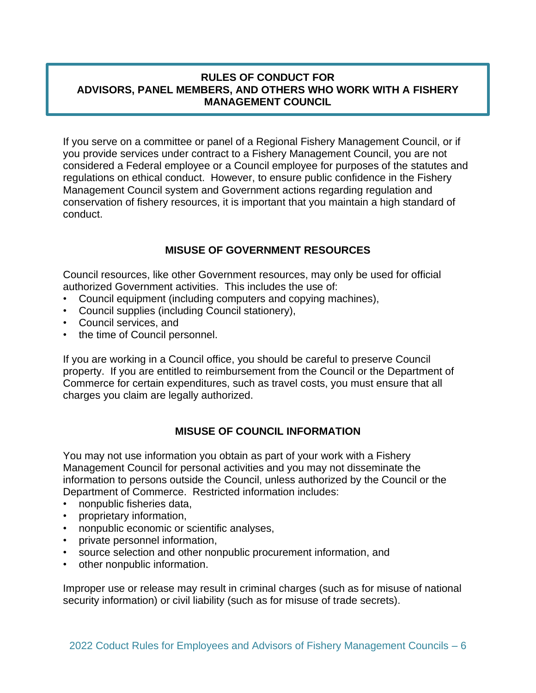## **RULES OF CONDUCT FOR ADVISORS, PANEL MEMBERS, AND OTHERS WHO WORK WITH A FISHERY MANAGEMENT COUNCIL**

If you serve on a committee or panel of a Regional Fishery Management Council, or if you provide services under contract to a Fishery Management Council, you are not considered a Federal employee or a Council employee for purposes of the statutes and regulations on ethical conduct. However, to ensure public confidence in the Fishery Management Council system and Government actions regarding regulation and conservation of fishery resources, it is important that you maintain a high standard of conduct.

# **MISUSE OF GOVERNMENT RESOURCES**

Council resources, like other Government resources, may only be used for official authorized Government activities. This includes the use of:

- Council equipment (including computers and copying machines),
- Council supplies (including Council stationery),
- Council services, and
- the time of Council personnel.

If you are working in a Council office, you should be careful to preserve Council property. If you are entitled to reimbursement from the Council or the Department of Commerce for certain expenditures, such as travel costs, you must ensure that all charges you claim are legally authorized.

# **MISUSE OF COUNCIL INFORMATION**

You may not use information you obtain as part of your work with a Fishery Management Council for personal activities and you may not disseminate the information to persons outside the Council, unless authorized by the Council or the Department of Commerce. Restricted information includes:

- nonpublic fisheries data,
- proprietary information,
- nonpublic economic or scientific analyses,
- private personnel information,
- source selection and other nonpublic procurement information, and
- other nonpublic information.

Improper use or release may result in criminal charges (such as for misuse of national security information) or civil liability (such as for misuse of trade secrets).